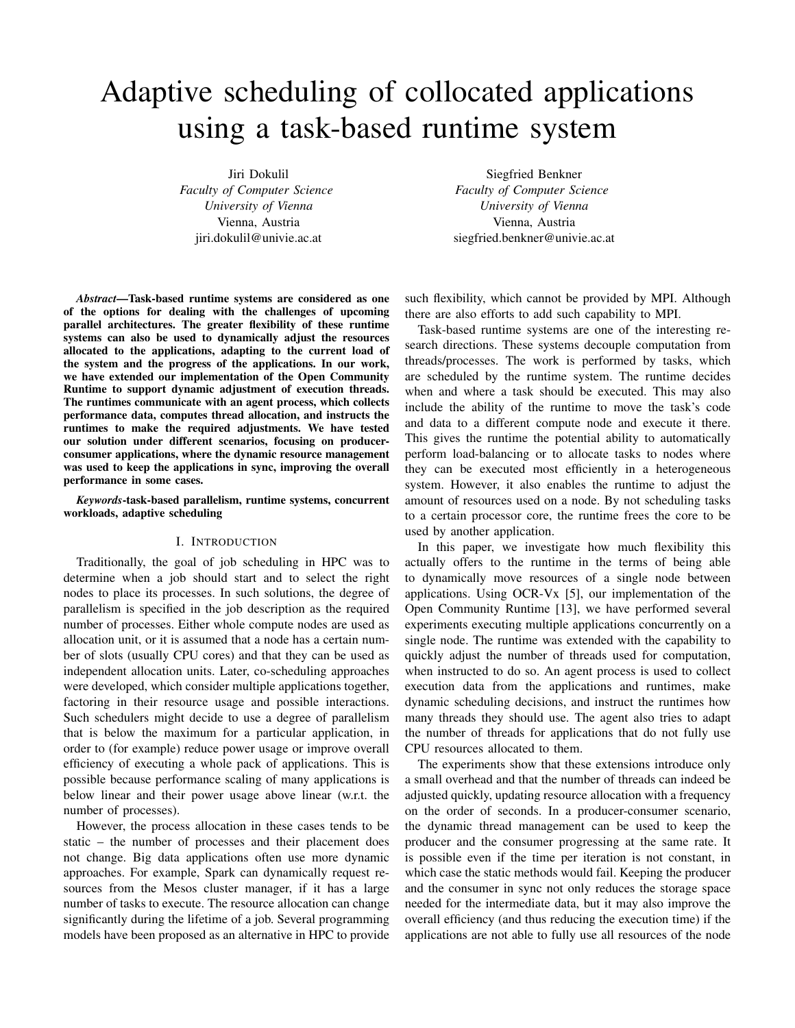# Adaptive scheduling of collocated applications using a task-based runtime system

Jiri Dokulil

*Faculty of Computer Science University of Vienna* Vienna, Austria jiri.dokulil@univie.ac.at

Siegfried Benkner *Faculty of Computer Science University of Vienna* Vienna, Austria siegfried.benkner@univie.ac.at

*Abstract*—Task-based runtime systems are considered as one of the options for dealing with the challenges of upcoming parallel architectures. The greater flexibility of these runtime systems can also be used to dynamically adjust the resources allocated to the applications, adapting to the current load of the system and the progress of the applications. In our work, we have extended our implementation of the Open Community Runtime to support dynamic adjustment of execution threads. The runtimes communicate with an agent process, which collects performance data, computes thread allocation, and instructs the runtimes to make the required adjustments. We have tested our solution under different scenarios, focusing on producerconsumer applications, where the dynamic resource management was used to keep the applications in sync, improving the overall performance in some cases.

*Keywords*-task-based parallelism, runtime systems, concurrent workloads, adaptive scheduling

## I. INTRODUCTION

Traditionally, the goal of job scheduling in HPC was to determine when a job should start and to select the right nodes to place its processes. In such solutions, the degree of parallelism is specified in the job description as the required number of processes. Either whole compute nodes are used as allocation unit, or it is assumed that a node has a certain number of slots (usually CPU cores) and that they can be used as independent allocation units. Later, co-scheduling approaches were developed, which consider multiple applications together, factoring in their resource usage and possible interactions. Such schedulers might decide to use a degree of parallelism that is below the maximum for a particular application, in order to (for example) reduce power usage or improve overall efficiency of executing a whole pack of applications. This is possible because performance scaling of many applications is below linear and their power usage above linear (w.r.t. the number of processes).

However, the process allocation in these cases tends to be static – the number of processes and their placement does not change. Big data applications often use more dynamic approaches. For example, Spark can dynamically request resources from the Mesos cluster manager, if it has a large number of tasks to execute. The resource allocation can change significantly during the lifetime of a job. Several programming models have been proposed as an alternative in HPC to provide

such flexibility, which cannot be provided by MPI. Although there are also efforts to add such capability to MPI.

Task-based runtime systems are one of the interesting research directions. These systems decouple computation from threads/processes. The work is performed by tasks, which are scheduled by the runtime system. The runtime decides when and where a task should be executed. This may also include the ability of the runtime to move the task's code and data to a different compute node and execute it there. This gives the runtime the potential ability to automatically perform load-balancing or to allocate tasks to nodes where they can be executed most efficiently in a heterogeneous system. However, it also enables the runtime to adjust the amount of resources used on a node. By not scheduling tasks to a certain processor core, the runtime frees the core to be used by another application.

In this paper, we investigate how much flexibility this actually offers to the runtime in the terms of being able to dynamically move resources of a single node between applications. Using OCR-Vx [5], our implementation of the Open Community Runtime [13], we have performed several experiments executing multiple applications concurrently on a single node. The runtime was extended with the capability to quickly adjust the number of threads used for computation, when instructed to do so. An agent process is used to collect execution data from the applications and runtimes, make dynamic scheduling decisions, and instruct the runtimes how many threads they should use. The agent also tries to adapt the number of threads for applications that do not fully use CPU resources allocated to them.

The experiments show that these extensions introduce only a small overhead and that the number of threads can indeed be adjusted quickly, updating resource allocation with a frequency on the order of seconds. In a producer-consumer scenario, the dynamic thread management can be used to keep the producer and the consumer progressing at the same rate. It is possible even if the time per iteration is not constant, in which case the static methods would fail. Keeping the producer and the consumer in sync not only reduces the storage space needed for the intermediate data, but it may also improve the overall efficiency (and thus reducing the execution time) if the applications are not able to fully use all resources of the node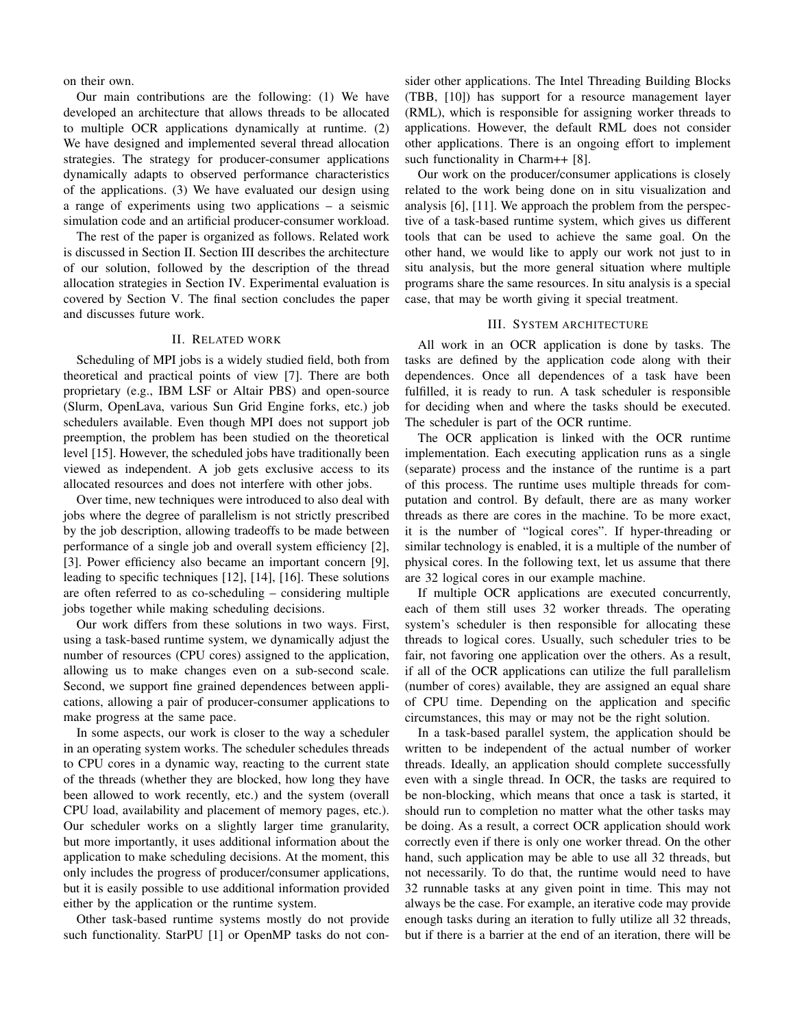on their own.

Our main contributions are the following: (1) We have developed an architecture that allows threads to be allocated to multiple OCR applications dynamically at runtime. (2) We have designed and implemented several thread allocation strategies. The strategy for producer-consumer applications dynamically adapts to observed performance characteristics of the applications. (3) We have evaluated our design using a range of experiments using two applications – a seismic simulation code and an artificial producer-consumer workload.

The rest of the paper is organized as follows. Related work is discussed in Section II. Section III describes the architecture of our solution, followed by the description of the thread allocation strategies in Section IV. Experimental evaluation is covered by Section V. The final section concludes the paper and discusses future work.

# II. RELATED WORK

Scheduling of MPI jobs is a widely studied field, both from theoretical and practical points of view [7]. There are both proprietary (e.g., IBM LSF or Altair PBS) and open-source (Slurm, OpenLava, various Sun Grid Engine forks, etc.) job schedulers available. Even though MPI does not support job preemption, the problem has been studied on the theoretical level [15]. However, the scheduled jobs have traditionally been viewed as independent. A job gets exclusive access to its allocated resources and does not interfere with other jobs.

Over time, new techniques were introduced to also deal with jobs where the degree of parallelism is not strictly prescribed by the job description, allowing tradeoffs to be made between performance of a single job and overall system efficiency [2], [3]. Power efficiency also became an important concern [9], leading to specific techniques [12], [14], [16]. These solutions are often referred to as co-scheduling – considering multiple jobs together while making scheduling decisions.

Our work differs from these solutions in two ways. First, using a task-based runtime system, we dynamically adjust the number of resources (CPU cores) assigned to the application, allowing us to make changes even on a sub-second scale. Second, we support fine grained dependences between applications, allowing a pair of producer-consumer applications to make progress at the same pace.

In some aspects, our work is closer to the way a scheduler in an operating system works. The scheduler schedules threads to CPU cores in a dynamic way, reacting to the current state of the threads (whether they are blocked, how long they have been allowed to work recently, etc.) and the system (overall CPU load, availability and placement of memory pages, etc.). Our scheduler works on a slightly larger time granularity, but more importantly, it uses additional information about the application to make scheduling decisions. At the moment, this only includes the progress of producer/consumer applications, but it is easily possible to use additional information provided either by the application or the runtime system.

Other task-based runtime systems mostly do not provide such functionality. StarPU [1] or OpenMP tasks do not con-

sider other applications. The Intel Threading Building Blocks (TBB, [10]) has support for a resource management layer (RML), which is responsible for assigning worker threads to applications. However, the default RML does not consider other applications. There is an ongoing effort to implement such functionality in Charm++ [8].

Our work on the producer/consumer applications is closely related to the work being done on in situ visualization and analysis [6], [11]. We approach the problem from the perspective of a task-based runtime system, which gives us different tools that can be used to achieve the same goal. On the other hand, we would like to apply our work not just to in situ analysis, but the more general situation where multiple programs share the same resources. In situ analysis is a special case, that may be worth giving it special treatment.

## III. SYSTEM ARCHITECTURE

All work in an OCR application is done by tasks. The tasks are defined by the application code along with their dependences. Once all dependences of a task have been fulfilled, it is ready to run. A task scheduler is responsible for deciding when and where the tasks should be executed. The scheduler is part of the OCR runtime.

The OCR application is linked with the OCR runtime implementation. Each executing application runs as a single (separate) process and the instance of the runtime is a part of this process. The runtime uses multiple threads for computation and control. By default, there are as many worker threads as there are cores in the machine. To be more exact, it is the number of "logical cores". If hyper-threading or similar technology is enabled, it is a multiple of the number of physical cores. In the following text, let us assume that there are 32 logical cores in our example machine.

If multiple OCR applications are executed concurrently, each of them still uses 32 worker threads. The operating system's scheduler is then responsible for allocating these threads to logical cores. Usually, such scheduler tries to be fair, not favoring one application over the others. As a result, if all of the OCR applications can utilize the full parallelism (number of cores) available, they are assigned an equal share of CPU time. Depending on the application and specific circumstances, this may or may not be the right solution.

In a task-based parallel system, the application should be written to be independent of the actual number of worker threads. Ideally, an application should complete successfully even with a single thread. In OCR, the tasks are required to be non-blocking, which means that once a task is started, it should run to completion no matter what the other tasks may be doing. As a result, a correct OCR application should work correctly even if there is only one worker thread. On the other hand, such application may be able to use all 32 threads, but not necessarily. To do that, the runtime would need to have 32 runnable tasks at any given point in time. This may not always be the case. For example, an iterative code may provide enough tasks during an iteration to fully utilize all 32 threads, but if there is a barrier at the end of an iteration, there will be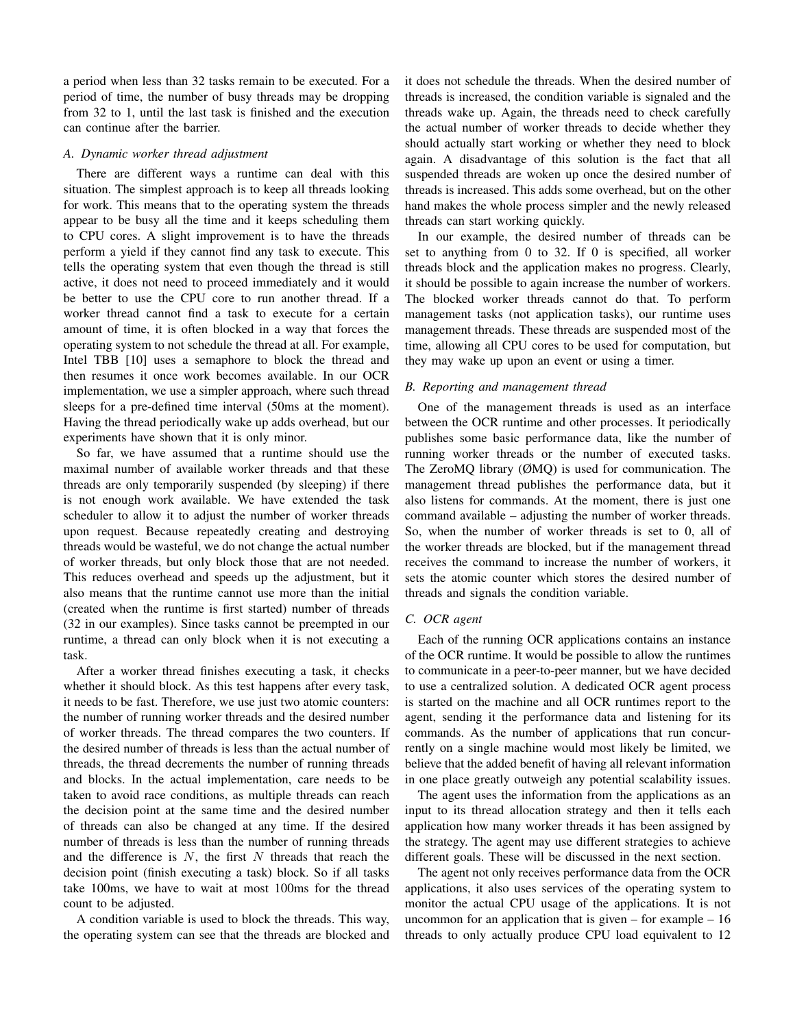a period when less than 32 tasks remain to be executed. For a period of time, the number of busy threads may be dropping from 32 to 1, until the last task is finished and the execution can continue after the barrier.

#### *A. Dynamic worker thread adjustment*

There are different ways a runtime can deal with this situation. The simplest approach is to keep all threads looking for work. This means that to the operating system the threads appear to be busy all the time and it keeps scheduling them to CPU cores. A slight improvement is to have the threads perform a yield if they cannot find any task to execute. This tells the operating system that even though the thread is still active, it does not need to proceed immediately and it would be better to use the CPU core to run another thread. If a worker thread cannot find a task to execute for a certain amount of time, it is often blocked in a way that forces the operating system to not schedule the thread at all. For example, Intel TBB [10] uses a semaphore to block the thread and then resumes it once work becomes available. In our OCR implementation, we use a simpler approach, where such thread sleeps for a pre-defined time interval (50ms at the moment). Having the thread periodically wake up adds overhead, but our experiments have shown that it is only minor.

So far, we have assumed that a runtime should use the maximal number of available worker threads and that these threads are only temporarily suspended (by sleeping) if there is not enough work available. We have extended the task scheduler to allow it to adjust the number of worker threads upon request. Because repeatedly creating and destroying threads would be wasteful, we do not change the actual number of worker threads, but only block those that are not needed. This reduces overhead and speeds up the adjustment, but it also means that the runtime cannot use more than the initial (created when the runtime is first started) number of threads (32 in our examples). Since tasks cannot be preempted in our runtime, a thread can only block when it is not executing a task.

After a worker thread finishes executing a task, it checks whether it should block. As this test happens after every task, it needs to be fast. Therefore, we use just two atomic counters: the number of running worker threads and the desired number of worker threads. The thread compares the two counters. If the desired number of threads is less than the actual number of threads, the thread decrements the number of running threads and blocks. In the actual implementation, care needs to be taken to avoid race conditions, as multiple threads can reach the decision point at the same time and the desired number of threads can also be changed at any time. If the desired number of threads is less than the number of running threads and the difference is  $N$ , the first  $N$  threads that reach the decision point (finish executing a task) block. So if all tasks take 100ms, we have to wait at most 100ms for the thread count to be adjusted.

A condition variable is used to block the threads. This way, the operating system can see that the threads are blocked and it does not schedule the threads. When the desired number of threads is increased, the condition variable is signaled and the threads wake up. Again, the threads need to check carefully the actual number of worker threads to decide whether they should actually start working or whether they need to block again. A disadvantage of this solution is the fact that all suspended threads are woken up once the desired number of threads is increased. This adds some overhead, but on the other hand makes the whole process simpler and the newly released threads can start working quickly.

In our example, the desired number of threads can be set to anything from 0 to 32. If 0 is specified, all worker threads block and the application makes no progress. Clearly, it should be possible to again increase the number of workers. The blocked worker threads cannot do that. To perform management tasks (not application tasks), our runtime uses management threads. These threads are suspended most of the time, allowing all CPU cores to be used for computation, but they may wake up upon an event or using a timer.

# *B. Reporting and management thread*

One of the management threads is used as an interface between the OCR runtime and other processes. It periodically publishes some basic performance data, like the number of running worker threads or the number of executed tasks. The ZeroMQ library (ØMQ) is used for communication. The management thread publishes the performance data, but it also listens for commands. At the moment, there is just one command available – adjusting the number of worker threads. So, when the number of worker threads is set to 0, all of the worker threads are blocked, but if the management thread receives the command to increase the number of workers, it sets the atomic counter which stores the desired number of threads and signals the condition variable.

#### *C. OCR agent*

Each of the running OCR applications contains an instance of the OCR runtime. It would be possible to allow the runtimes to communicate in a peer-to-peer manner, but we have decided to use a centralized solution. A dedicated OCR agent process is started on the machine and all OCR runtimes report to the agent, sending it the performance data and listening for its commands. As the number of applications that run concurrently on a single machine would most likely be limited, we believe that the added benefit of having all relevant information in one place greatly outweigh any potential scalability issues.

The agent uses the information from the applications as an input to its thread allocation strategy and then it tells each application how many worker threads it has been assigned by the strategy. The agent may use different strategies to achieve different goals. These will be discussed in the next section.

The agent not only receives performance data from the OCR applications, it also uses services of the operating system to monitor the actual CPU usage of the applications. It is not uncommon for an application that is given  $-$  for example  $-16$ threads to only actually produce CPU load equivalent to 12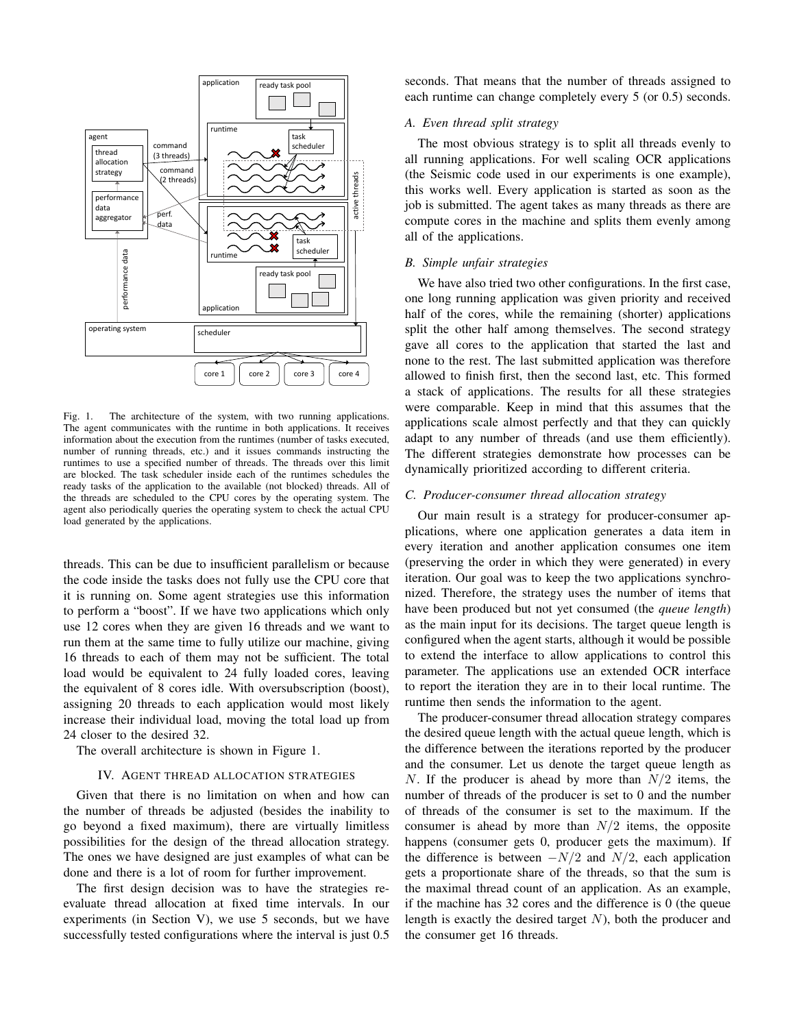

Fig. 1. The architecture of the system, with two running applications. The agent communicates with the runtime in both applications. It receives information about the execution from the runtimes (number of tasks executed, number of running threads, etc.) and it issues commands instructing the runtimes to use a specified number of threads. The threads over this limit are blocked. The task scheduler inside each of the runtimes schedules the ready tasks of the application to the available (not blocked) threads. All of the threads are scheduled to the CPU cores by the operating system. The agent also periodically queries the operating system to check the actual CPU load generated by the applications.

threads. This can be due to insufficient parallelism or because the code inside the tasks does not fully use the CPU core that it is running on. Some agent strategies use this information to perform a "boost". If we have two applications which only use 12 cores when they are given 16 threads and we want to run them at the same time to fully utilize our machine, giving 16 threads to each of them may not be sufficient. The total load would be equivalent to 24 fully loaded cores, leaving the equivalent of 8 cores idle. With oversubscription (boost), assigning 20 threads to each application would most likely increase their individual load, moving the total load up from 24 closer to the desired 32.

The overall architecture is shown in Figure 1.

## IV. AGENT THREAD ALLOCATION STRATEGIES

Given that there is no limitation on when and how can the number of threads be adjusted (besides the inability to go beyond a fixed maximum), there are virtually limitless possibilities for the design of the thread allocation strategy. The ones we have designed are just examples of what can be done and there is a lot of room for further improvement.

The first design decision was to have the strategies reevaluate thread allocation at fixed time intervals. In our experiments (in Section V), we use 5 seconds, but we have successfully tested configurations where the interval is just 0.5

seconds. That means that the number of threads assigned to each runtime can change completely every 5 (or 0.5) seconds.

# *A. Even thread split strategy*

The most obvious strategy is to split all threads evenly to all running applications. For well scaling OCR applications (the Seismic code used in our experiments is one example), this works well. Every application is started as soon as the job is submitted. The agent takes as many threads as there are compute cores in the machine and splits them evenly among all of the applications.

# *B. Simple unfair strategies*

We have also tried two other configurations. In the first case, one long running application was given priority and received half of the cores, while the remaining (shorter) applications split the other half among themselves. The second strategy gave all cores to the application that started the last and none to the rest. The last submitted application was therefore allowed to finish first, then the second last, etc. This formed a stack of applications. The results for all these strategies were comparable. Keep in mind that this assumes that the applications scale almost perfectly and that they can quickly adapt to any number of threads (and use them efficiently). The different strategies demonstrate how processes can be dynamically prioritized according to different criteria.

#### *C. Producer-consumer thread allocation strategy*

Our main result is a strategy for producer-consumer applications, where one application generates a data item in every iteration and another application consumes one item (preserving the order in which they were generated) in every iteration. Our goal was to keep the two applications synchronized. Therefore, the strategy uses the number of items that have been produced but not yet consumed (the *queue length*) as the main input for its decisions. The target queue length is configured when the agent starts, although it would be possible to extend the interface to allow applications to control this parameter. The applications use an extended OCR interface to report the iteration they are in to their local runtime. The runtime then sends the information to the agent.

The producer-consumer thread allocation strategy compares the desired queue length with the actual queue length, which is the difference between the iterations reported by the producer and the consumer. Let us denote the target queue length as N. If the producer is ahead by more than  $N/2$  items, the number of threads of the producer is set to 0 and the number of threads of the consumer is set to the maximum. If the consumer is ahead by more than  $N/2$  items, the opposite happens (consumer gets 0, producer gets the maximum). If the difference is between  $-N/2$  and  $N/2$ , each application gets a proportionate share of the threads, so that the sum is the maximal thread count of an application. As an example, if the machine has 32 cores and the difference is 0 (the queue length is exactly the desired target  $N$ ), both the producer and the consumer get 16 threads.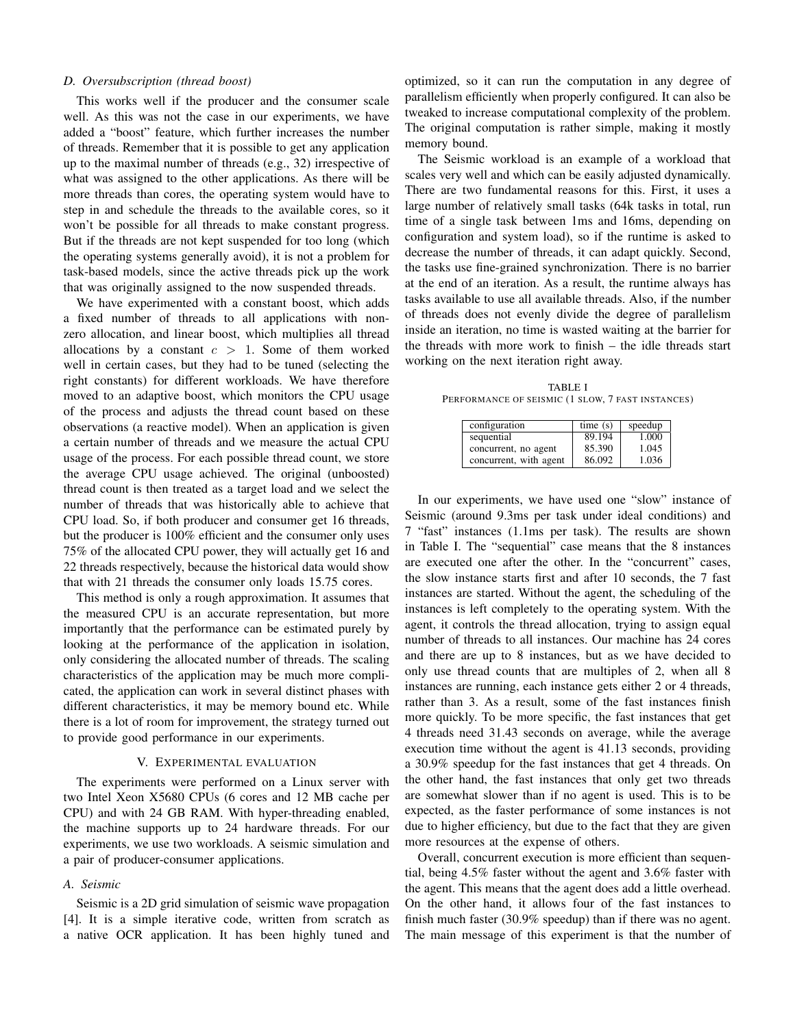## *D. Oversubscription (thread boost)*

This works well if the producer and the consumer scale well. As this was not the case in our experiments, we have added a "boost" feature, which further increases the number of threads. Remember that it is possible to get any application up to the maximal number of threads (e.g., 32) irrespective of what was assigned to the other applications. As there will be more threads than cores, the operating system would have to step in and schedule the threads to the available cores, so it won't be possible for all threads to make constant progress. But if the threads are not kept suspended for too long (which the operating systems generally avoid), it is not a problem for task-based models, since the active threads pick up the work that was originally assigned to the now suspended threads.

We have experimented with a constant boost, which adds a fixed number of threads to all applications with nonzero allocation, and linear boost, which multiplies all thread allocations by a constant  $c > 1$ . Some of them worked well in certain cases, but they had to be tuned (selecting the right constants) for different workloads. We have therefore moved to an adaptive boost, which monitors the CPU usage of the process and adjusts the thread count based on these observations (a reactive model). When an application is given a certain number of threads and we measure the actual CPU usage of the process. For each possible thread count, we store the average CPU usage achieved. The original (unboosted) thread count is then treated as a target load and we select the number of threads that was historically able to achieve that CPU load. So, if both producer and consumer get 16 threads, but the producer is 100% efficient and the consumer only uses 75% of the allocated CPU power, they will actually get 16 and 22 threads respectively, because the historical data would show that with 21 threads the consumer only loads 15.75 cores.

This method is only a rough approximation. It assumes that the measured CPU is an accurate representation, but more importantly that the performance can be estimated purely by looking at the performance of the application in isolation, only considering the allocated number of threads. The scaling characteristics of the application may be much more complicated, the application can work in several distinct phases with different characteristics, it may be memory bound etc. While there is a lot of room for improvement, the strategy turned out to provide good performance in our experiments.

## V. EXPERIMENTAL EVALUATION

The experiments were performed on a Linux server with two Intel Xeon X5680 CPUs (6 cores and 12 MB cache per CPU) and with 24 GB RAM. With hyper-threading enabled, the machine supports up to 24 hardware threads. For our experiments, we use two workloads. A seismic simulation and a pair of producer-consumer applications.

# *A. Seismic*

Seismic is a 2D grid simulation of seismic wave propagation [4]. It is a simple iterative code, written from scratch as a native OCR application. It has been highly tuned and

optimized, so it can run the computation in any degree of parallelism efficiently when properly configured. It can also be tweaked to increase computational complexity of the problem. The original computation is rather simple, making it mostly memory bound.

The Seismic workload is an example of a workload that scales very well and which can be easily adjusted dynamically. There are two fundamental reasons for this. First, it uses a large number of relatively small tasks (64k tasks in total, run time of a single task between 1ms and 16ms, depending on configuration and system load), so if the runtime is asked to decrease the number of threads, it can adapt quickly. Second, the tasks use fine-grained synchronization. There is no barrier at the end of an iteration. As a result, the runtime always has tasks available to use all available threads. Also, if the number of threads does not evenly divide the degree of parallelism inside an iteration, no time is wasted waiting at the barrier for the threads with more work to finish – the idle threads start working on the next iteration right away.

TABLE I PERFORMANCE OF SEISMIC (1 SLOW, 7 FAST INSTANCES)

| configuration          | time(s) | speedup |
|------------------------|---------|---------|
| sequential             | 89.194  | 1.000   |
| concurrent, no agent   | 85.390  | 1.045   |
| concurrent, with agent | 86.092  | 1.036   |

In our experiments, we have used one "slow" instance of Seismic (around 9.3ms per task under ideal conditions) and 7 "fast" instances (1.1ms per task). The results are shown in Table I. The "sequential" case means that the 8 instances are executed one after the other. In the "concurrent" cases, the slow instance starts first and after 10 seconds, the 7 fast instances are started. Without the agent, the scheduling of the instances is left completely to the operating system. With the agent, it controls the thread allocation, trying to assign equal number of threads to all instances. Our machine has 24 cores and there are up to 8 instances, but as we have decided to only use thread counts that are multiples of 2, when all 8 instances are running, each instance gets either 2 or 4 threads, rather than 3. As a result, some of the fast instances finish more quickly. To be more specific, the fast instances that get 4 threads need 31.43 seconds on average, while the average execution time without the agent is 41.13 seconds, providing a 30.9% speedup for the fast instances that get 4 threads. On the other hand, the fast instances that only get two threads are somewhat slower than if no agent is used. This is to be expected, as the faster performance of some instances is not due to higher efficiency, but due to the fact that they are given more resources at the expense of others.

Overall, concurrent execution is more efficient than sequential, being 4.5% faster without the agent and 3.6% faster with the agent. This means that the agent does add a little overhead. On the other hand, it allows four of the fast instances to finish much faster (30.9% speedup) than if there was no agent. The main message of this experiment is that the number of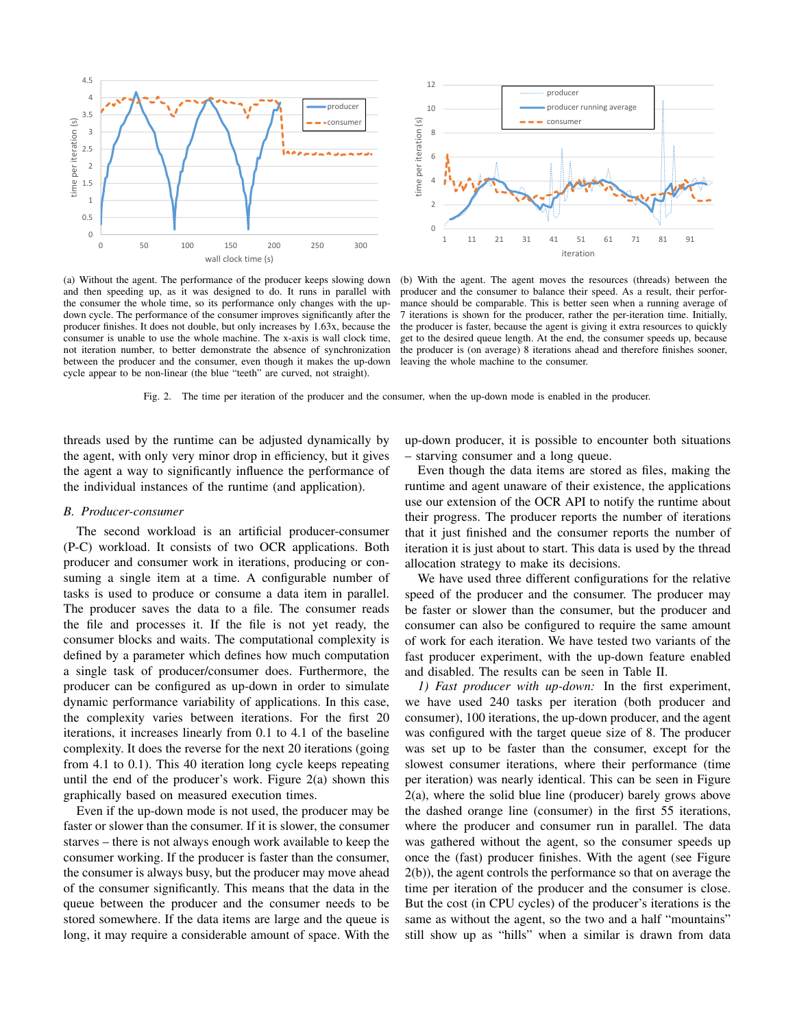

(a) Without the agent. The performance of the producer keeps slowing down and then speeding up, as it was designed to do. It runs in parallel with the consumer the whole time, so its performance only changes with the updown cycle. The performance of the consumer improves significantly after the producer finishes. It does not double, but only increases by 1.63x, because the consumer is unable to use the whole machine. The x-axis is wall clock time, not iteration number, to better demonstrate the absence of synchronization between the producer and the consumer, even though it makes the up-down cycle appear to be non-linear (the blue "teeth" are curved, not straight).

(b) With the agent. The agent moves the resources (threads) between the producer and the consumer to balance their speed. As a result, their performance should be comparable. This is better seen when a running average of 7 iterations is shown for the producer, rather the per-iteration time. Initially, the producer is faster, because the agent is giving it extra resources to quickly get to the desired queue length. At the end, the consumer speeds up, because the producer is (on average) 8 iterations ahead and therefore finishes sooner, leaving the whole machine to the consumer.

Fig. 2. The time per iteration of the producer and the consumer, when the up-down mode is enabled in the producer.

threads used by the runtime can be adjusted dynamically by the agent, with only very minor drop in efficiency, but it gives the agent a way to significantly influence the performance of the individual instances of the runtime (and application).

#### *B. Producer-consumer*

The second workload is an artificial producer-consumer (P-C) workload. It consists of two OCR applications. Both producer and consumer work in iterations, producing or consuming a single item at a time. A configurable number of tasks is used to produce or consume a data item in parallel. The producer saves the data to a file. The consumer reads the file and processes it. If the file is not yet ready, the consumer blocks and waits. The computational complexity is defined by a parameter which defines how much computation a single task of producer/consumer does. Furthermore, the producer can be configured as up-down in order to simulate dynamic performance variability of applications. In this case, the complexity varies between iterations. For the first 20 iterations, it increases linearly from 0.1 to 4.1 of the baseline complexity. It does the reverse for the next 20 iterations (going from 4.1 to 0.1). This 40 iteration long cycle keeps repeating until the end of the producer's work. Figure 2(a) shown this graphically based on measured execution times.

Even if the up-down mode is not used, the producer may be faster or slower than the consumer. If it is slower, the consumer starves – there is not always enough work available to keep the consumer working. If the producer is faster than the consumer, the consumer is always busy, but the producer may move ahead of the consumer significantly. This means that the data in the queue between the producer and the consumer needs to be stored somewhere. If the data items are large and the queue is long, it may require a considerable amount of space. With the up-down producer, it is possible to encounter both situations – starving consumer and a long queue.

Even though the data items are stored as files, making the runtime and agent unaware of their existence, the applications use our extension of the OCR API to notify the runtime about their progress. The producer reports the number of iterations that it just finished and the consumer reports the number of iteration it is just about to start. This data is used by the thread allocation strategy to make its decisions.

We have used three different configurations for the relative speed of the producer and the consumer. The producer may be faster or slower than the consumer, but the producer and consumer can also be configured to require the same amount of work for each iteration. We have tested two variants of the fast producer experiment, with the up-down feature enabled and disabled. The results can be seen in Table II.

*1) Fast producer with up-down:* In the first experiment, we have used 240 tasks per iteration (both producer and consumer), 100 iterations, the up-down producer, and the agent was configured with the target queue size of 8. The producer was set up to be faster than the consumer, except for the slowest consumer iterations, where their performance (time per iteration) was nearly identical. This can be seen in Figure 2(a), where the solid blue line (producer) barely grows above the dashed orange line (consumer) in the first 55 iterations, where the producer and consumer run in parallel. The data was gathered without the agent, so the consumer speeds up once the (fast) producer finishes. With the agent (see Figure 2(b)), the agent controls the performance so that on average the time per iteration of the producer and the consumer is close. But the cost (in CPU cycles) of the producer's iterations is the same as without the agent, so the two and a half "mountains" still show up as "hills" when a similar is drawn from data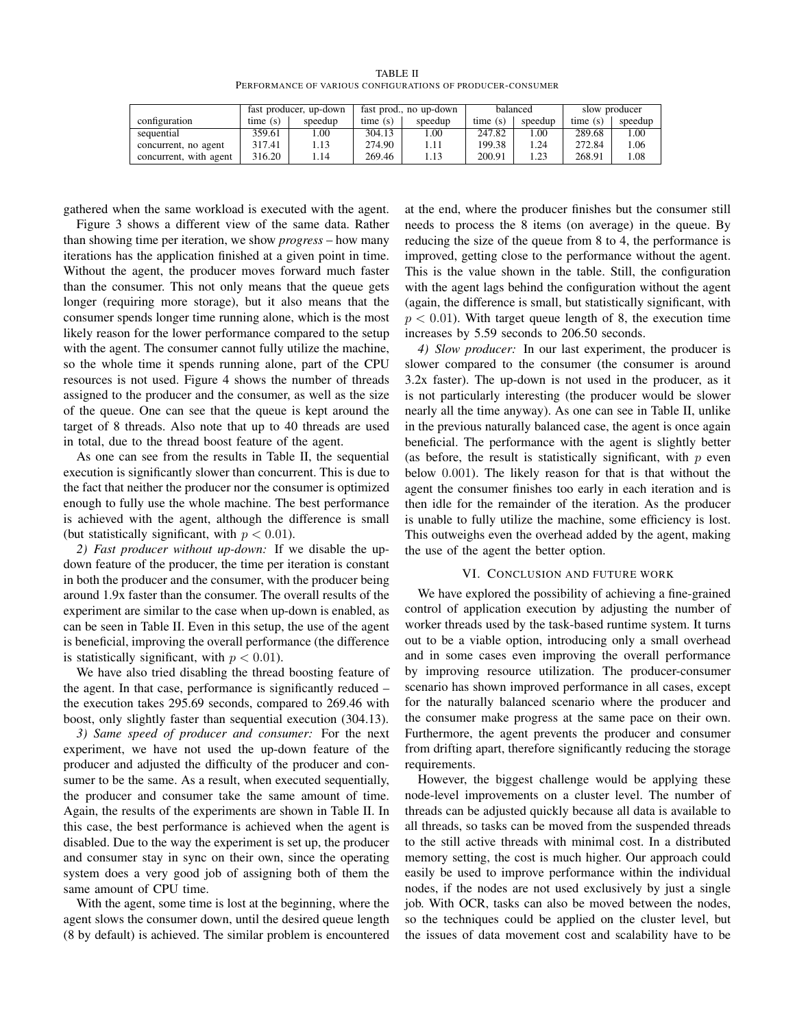TABLE II PERFORMANCE OF VARIOUS CONFIGURATIONS OF PRODUCER-CONSUMER

|                        | fast producer, up-down |         | fast prod., no up-down |         | balanced |            | slow producer |         |
|------------------------|------------------------|---------|------------------------|---------|----------|------------|---------------|---------|
| configuration          | time(s)                | speedup | time(s)                | speedup | time(s)  | speedup    | time(s)       | speedup |
| sequential             | 359.61                 | 1.00    | 304.13                 | 1.00    | 247.82   | .00        | 289.68        | .00     |
| concurrent, no agent   | 317.41                 | l.13    | 274.90                 | 1.11    | 199.38   | $\cdot$ 24 | 272.84        | .06     |
| concurrent, with agent | 316.20                 | . 14    | 269.46                 | 1.13    | 200.91   | 1.23       | 268.91        | .08     |

gathered when the same workload is executed with the agent.

Figure 3 shows a different view of the same data. Rather than showing time per iteration, we show *progress* – how many iterations has the application finished at a given point in time. Without the agent, the producer moves forward much faster than the consumer. This not only means that the queue gets longer (requiring more storage), but it also means that the consumer spends longer time running alone, which is the most likely reason for the lower performance compared to the setup with the agent. The consumer cannot fully utilize the machine, so the whole time it spends running alone, part of the CPU resources is not used. Figure 4 shows the number of threads assigned to the producer and the consumer, as well as the size of the queue. One can see that the queue is kept around the target of 8 threads. Also note that up to 40 threads are used in total, due to the thread boost feature of the agent.

As one can see from the results in Table II, the sequential execution is significantly slower than concurrent. This is due to the fact that neither the producer nor the consumer is optimized enough to fully use the whole machine. The best performance is achieved with the agent, although the difference is small (but statistically significant, with  $p < 0.01$ ).

*2) Fast producer without up-down:* If we disable the updown feature of the producer, the time per iteration is constant in both the producer and the consumer, with the producer being around 1.9x faster than the consumer. The overall results of the experiment are similar to the case when up-down is enabled, as can be seen in Table II. Even in this setup, the use of the agent is beneficial, improving the overall performance (the difference is statistically significant, with  $p < 0.01$ ).

We have also tried disabling the thread boosting feature of the agent. In that case, performance is significantly reduced – the execution takes 295.69 seconds, compared to 269.46 with boost, only slightly faster than sequential execution (304.13).

*3) Same speed of producer and consumer:* For the next experiment, we have not used the up-down feature of the producer and adjusted the difficulty of the producer and consumer to be the same. As a result, when executed sequentially, the producer and consumer take the same amount of time. Again, the results of the experiments are shown in Table II. In this case, the best performance is achieved when the agent is disabled. Due to the way the experiment is set up, the producer and consumer stay in sync on their own, since the operating system does a very good job of assigning both of them the same amount of CPU time.

With the agent, some time is lost at the beginning, where the agent slows the consumer down, until the desired queue length (8 by default) is achieved. The similar problem is encountered

at the end, where the producer finishes but the consumer still needs to process the 8 items (on average) in the queue. By reducing the size of the queue from 8 to 4, the performance is improved, getting close to the performance without the agent. This is the value shown in the table. Still, the configuration with the agent lags behind the configuration without the agent (again, the difference is small, but statistically significant, with  $p < 0.01$ ). With target queue length of 8, the execution time increases by 5.59 seconds to 206.50 seconds.

*4) Slow producer:* In our last experiment, the producer is slower compared to the consumer (the consumer is around 3.2x faster). The up-down is not used in the producer, as it is not particularly interesting (the producer would be slower nearly all the time anyway). As one can see in Table II, unlike in the previous naturally balanced case, the agent is once again beneficial. The performance with the agent is slightly better (as before, the result is statistically significant, with  $p$  even below 0.001). The likely reason for that is that without the agent the consumer finishes too early in each iteration and is then idle for the remainder of the iteration. As the producer is unable to fully utilize the machine, some efficiency is lost. This outweighs even the overhead added by the agent, making the use of the agent the better option.

#### VI. CONCLUSION AND FUTURE WORK

We have explored the possibility of achieving a fine-grained control of application execution by adjusting the number of worker threads used by the task-based runtime system. It turns out to be a viable option, introducing only a small overhead and in some cases even improving the overall performance by improving resource utilization. The producer-consumer scenario has shown improved performance in all cases, except for the naturally balanced scenario where the producer and the consumer make progress at the same pace on their own. Furthermore, the agent prevents the producer and consumer from drifting apart, therefore significantly reducing the storage requirements.

However, the biggest challenge would be applying these node-level improvements on a cluster level. The number of threads can be adjusted quickly because all data is available to all threads, so tasks can be moved from the suspended threads to the still active threads with minimal cost. In a distributed memory setting, the cost is much higher. Our approach could easily be used to improve performance within the individual nodes, if the nodes are not used exclusively by just a single job. With OCR, tasks can also be moved between the nodes, so the techniques could be applied on the cluster level, but the issues of data movement cost and scalability have to be